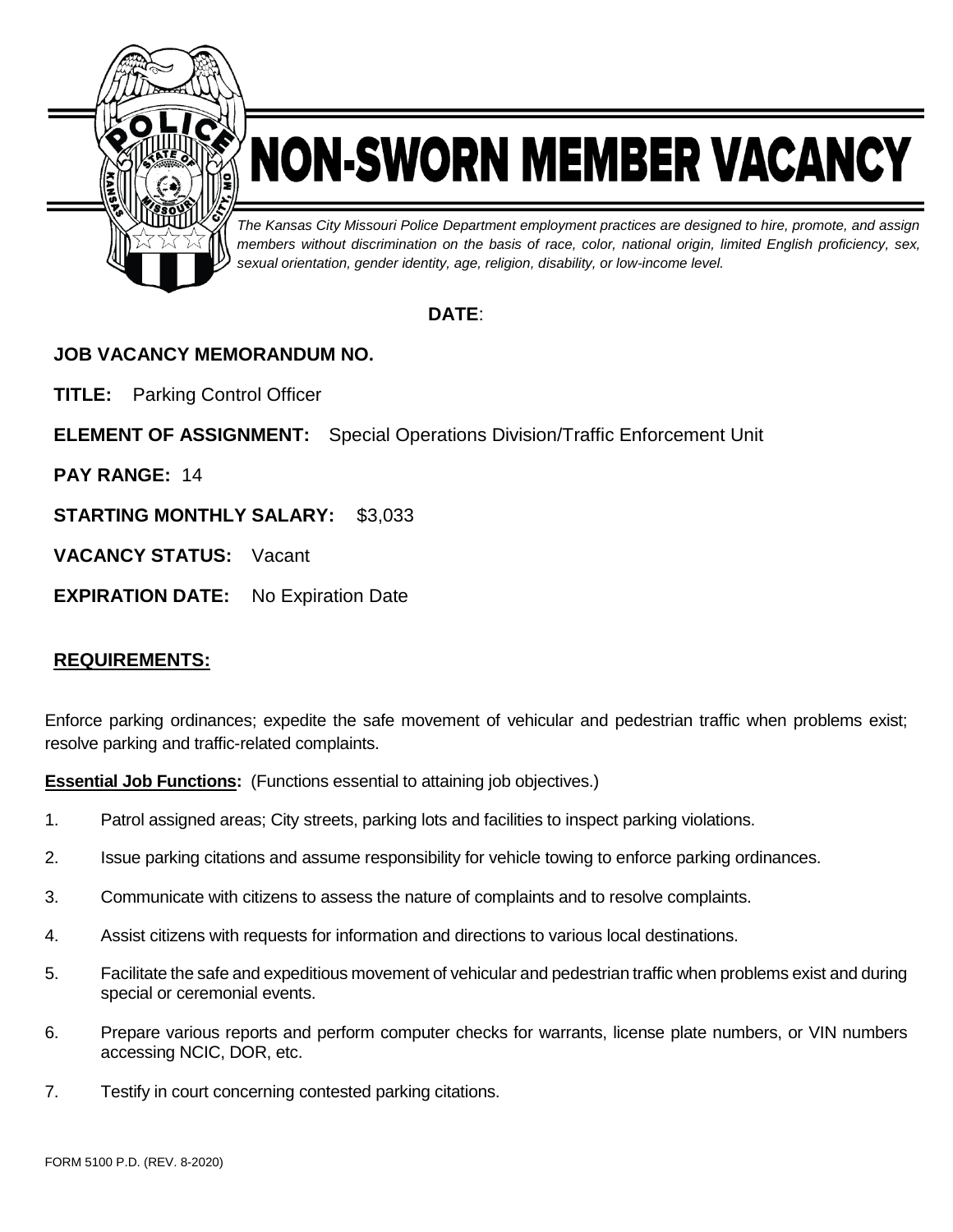

# NON-SWORN MEMBER VACANCY

*The Kansas City Missouri Police Department employment practices are designed to hire, promote, and assign members without discrimination on the basis of race, color, national origin, limited English proficiency, sex, sexual orientation, gender identity, age, religion, disability, or low-income level.*

# **DATE**:

# **JOB VACANCY MEMORANDUM NO.**

**TITLE:** Parking Control Officer

**ELEMENT OF ASSIGNMENT:** Special Operations Division/Traffic Enforcement Unit

**PAY RANGE:** 14

**STARTING MONTHLY SALARY:** \$3,033

**VACANCY STATUS:** Vacant

**EXPIRATION DATE:** No Expiration Date

## **REQUIREMENTS:**

Enforce parking ordinances; expedite the safe movement of vehicular and pedestrian traffic when problems exist; resolve parking and traffic-related complaints.

**Essential Job Functions:** (Functions essential to attaining job objectives.)

- 1. Patrol assigned areas; City streets, parking lots and facilities to inspect parking violations.
- 2. Issue parking citations and assume responsibility for vehicle towing to enforce parking ordinances.
- 3. Communicate with citizens to assess the nature of complaints and to resolve complaints.
- 4. Assist citizens with requests for information and directions to various local destinations.
- 5. Facilitate the safe and expeditious movement of vehicular and pedestrian traffic when problems exist and during special or ceremonial events.
- 6. Prepare various reports and perform computer checks for warrants, license plate numbers, or VIN numbers accessing NCIC, DOR, etc.
- 7. Testify in court concerning contested parking citations.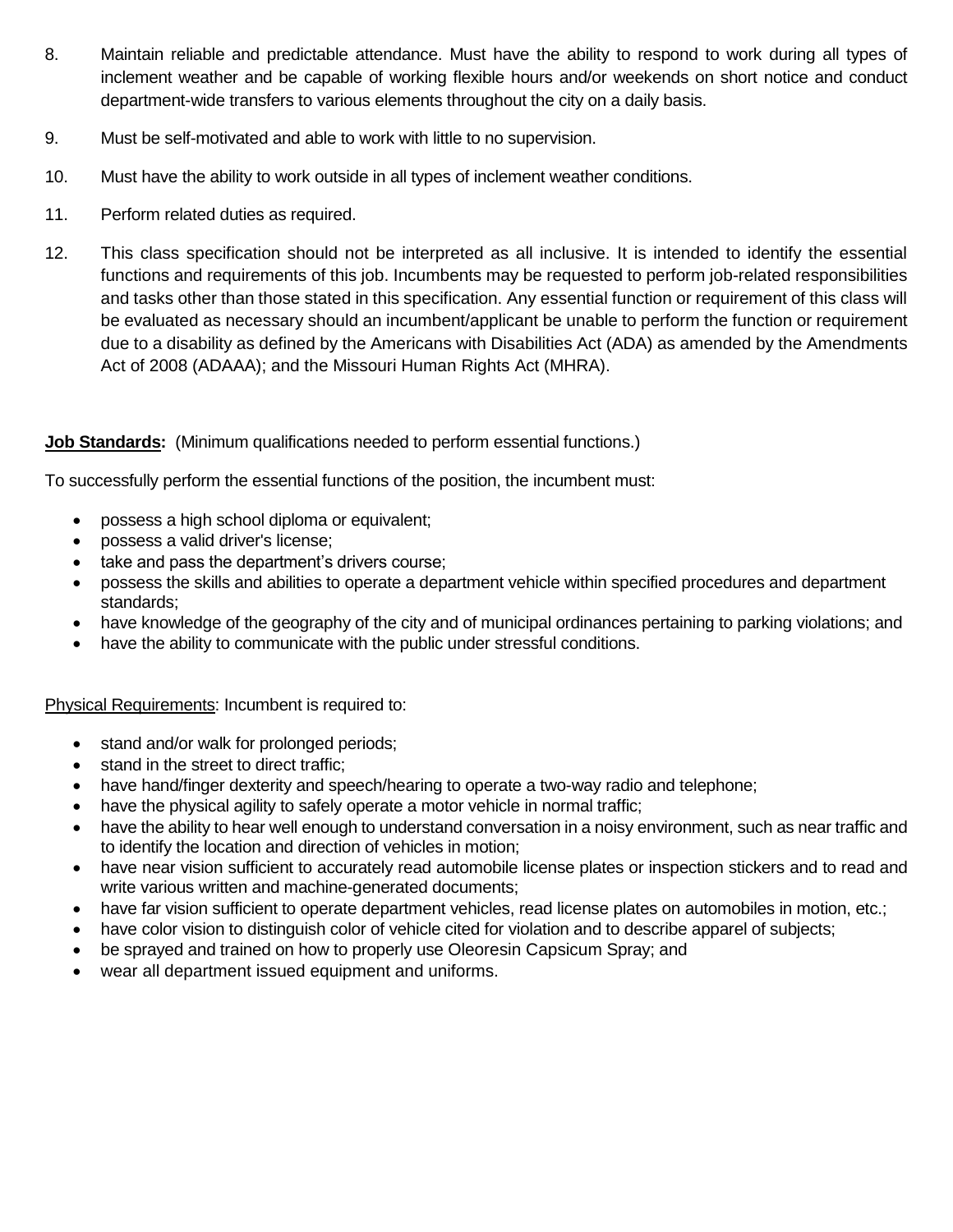- 8. Maintain reliable and predictable attendance. Must have the ability to respond to work during all types of inclement weather and be capable of working flexible hours and/or weekends on short notice and conduct department-wide transfers to various elements throughout the city on a daily basis.
- 9. Must be self-motivated and able to work with little to no supervision.
- 10. Must have the ability to work outside in all types of inclement weather conditions.
- 11. Perform related duties as required.
- 12. This class specification should not be interpreted as all inclusive. It is intended to identify the essential functions and requirements of this job. Incumbents may be requested to perform job-related responsibilities and tasks other than those stated in this specification. Any essential function or requirement of this class will be evaluated as necessary should an incumbent/applicant be unable to perform the function or requirement due to a disability as defined by the Americans with Disabilities Act (ADA) as amended by the Amendments Act of 2008 (ADAAA); and the Missouri Human Rights Act (MHRA).

#### **Job Standards:** (Minimum qualifications needed to perform essential functions.)

To successfully perform the essential functions of the position, the incumbent must:

- possess a high school diploma or equivalent;
- possess a valid driver's license;
- take and pass the department's drivers course;
- possess the skills and abilities to operate a department vehicle within specified procedures and department standards;
- have knowledge of the geography of the city and of municipal ordinances pertaining to parking violations; and
- have the ability to communicate with the public under stressful conditions.

#### Physical Requirements: Incumbent is required to:

- stand and/or walk for prolonged periods;
- stand in the street to direct traffic;
- have hand/finger dexterity and speech/hearing to operate a two-way radio and telephone;
- have the physical agility to safely operate a motor vehicle in normal traffic;
- have the ability to hear well enough to understand conversation in a noisy environment, such as near traffic and to identify the location and direction of vehicles in motion;
- have near vision sufficient to accurately read automobile license plates or inspection stickers and to read and write various written and machine-generated documents;
- have far vision sufficient to operate department vehicles, read license plates on automobiles in motion, etc.;
- have color vision to distinguish color of vehicle cited for violation and to describe apparel of subjects;
- be sprayed and trained on how to properly use Oleoresin Capsicum Spray; and
- wear all department issued equipment and uniforms.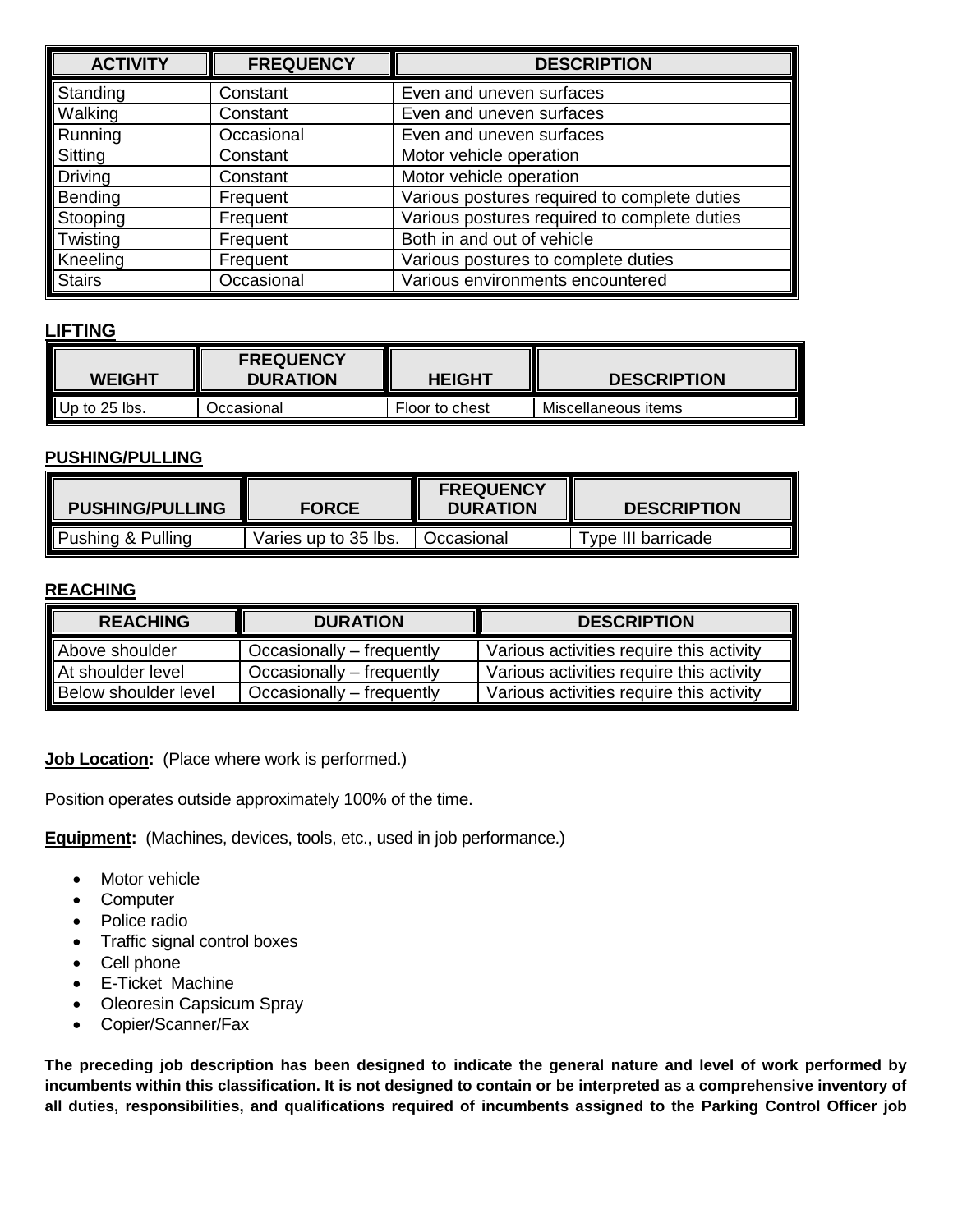| <b>ACTIVITY</b> | <b>FREQUENCY</b> | <b>DESCRIPTION</b>                           |
|-----------------|------------------|----------------------------------------------|
| Standing        | Constant         | Even and uneven surfaces                     |
| Walking         | Constant         | Even and uneven surfaces                     |
| Running         | Occasional       | Even and uneven surfaces                     |
| Sitting         | Constant         | Motor vehicle operation                      |
| Driving         | Constant         | Motor vehicle operation                      |
| Bending         | Frequent         | Various postures required to complete duties |
| Stooping        | Frequent         | Various postures required to complete duties |
| Twisting        | Frequent         | Both in and out of vehicle                   |
| Kneeling        | Frequent         | Various postures to complete duties          |
| <b>Stairs</b>   | Occasional       | Various environments encountered             |

## **LIFTING**

| <b>WEIGHT</b> | <b>FREQUENCY</b><br><b>DURATION</b> | <b>HEIGHT</b>  | <b>DESCRIPTION</b>  |
|---------------|-------------------------------------|----------------|---------------------|
| Up to 25 lbs. | Dccasional                          | Floor to chest | Miscellaneous items |

#### **PUSHING/PULLING**

| <b>PUSHING/PULLING</b>       | <b>FORCE</b>         | <b>FREQUENCY</b><br><b>DURATION</b> | <b>DESCRIPTION</b> |  |
|------------------------------|----------------------|-------------------------------------|--------------------|--|
| <b>Pushing &amp; Pulling</b> | Varies up to 35 lbs. | Occasional                          | Type III barricade |  |

#### **REACHING**

| <b>REACHING</b>             | <b>DURATION</b>           | <b>DESCRIPTION</b>                       |
|-----------------------------|---------------------------|------------------------------------------|
| Above shoulder              | Occasionally – frequently | Various activities require this activity |
| At shoulder level           | Occasionally – frequently | Various activities require this activity |
| <b>Below shoulder level</b> | Occasionally – frequently | Various activities require this activity |

**Job Location:** (Place where work is performed.)

Position operates outside approximately 100% of the time.

**Equipment:** (Machines, devices, tools, etc., used in job performance.)

- Motor vehicle
- Computer
- Police radio
- Traffic signal control boxes
- Cell phone
- E-Ticket Machine
- Oleoresin Capsicum Spray
- Copier/Scanner/Fax

**The preceding job description has been designed to indicate the general nature and level of work performed by incumbents within this classification. It is not designed to contain or be interpreted as a comprehensive inventory of all duties, responsibilities, and qualifications required of incumbents assigned to the Parking Control Officer job**